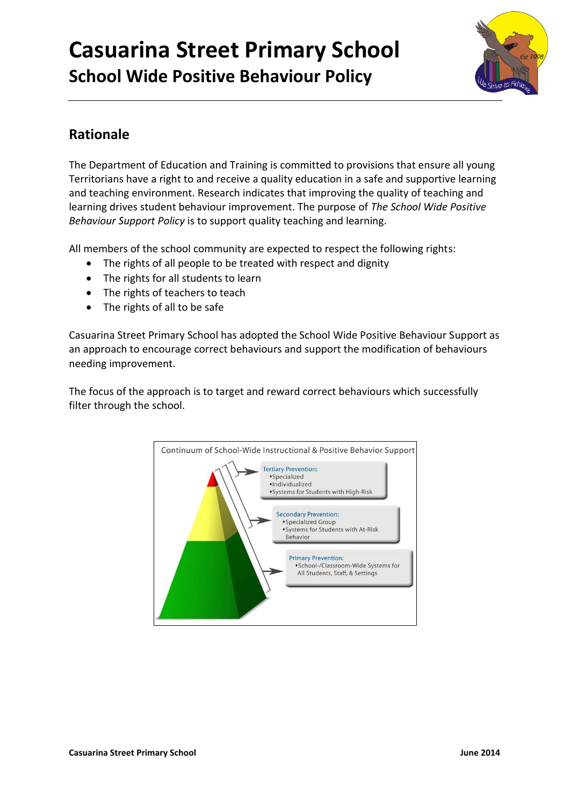

## **Rationale**

The Department of Education and Training is committed to provisions that ensure all young Territorians have a right to and receive a quality education in a safe and supportive learning and teaching environment. Research indicates that improving the quality of teaching and learning drives student behaviour improvement. The purpose of *The School Wide Positive Behaviour Support Policy* is to support quality teaching and learning.

All members of the school community are expected to respect the following rights:

- The rights of all people to be treated with respect and dignity
- The rights for all students to learn
- The rights of teachers to teach
- The rights of all to be safe

Casuarina Street Primary School has adopted the School Wide Positive Behaviour Support as an approach to encourage correct behaviours and support the modification of behaviours needing improvement.

The focus of the approach is to target and reward correct behaviours which successfully filter through the school.

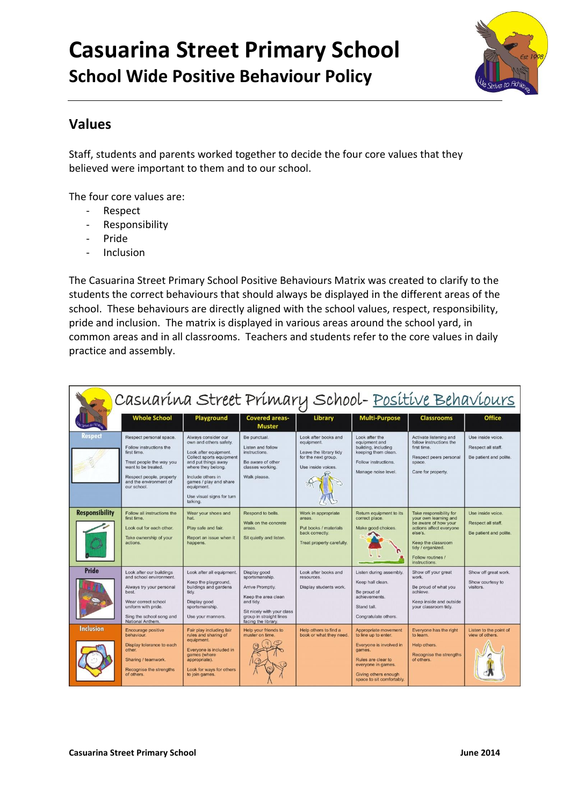

#### **Values**

Staff, students and parents worked together to decide the four core values that they believed were important to them and to our school.

The four core values are:

- Respect
- Responsibility
- Pride
- Inclusion

The Casuarina Street Primary School Positive Behaviours Matrix was created to clarify to the students the correct behaviours that should always be displayed in the different areas of the school. These behaviours are directly aligned with the school values, respect, responsibility, pride and inclusion. The matrix is displayed in various areas around the school yard, in common areas and in all classrooms. Teachers and students refer to the core values in daily practice and assembly.

|                       | Casuarina Street Primary School- Positive Behaviours                                                                                                                                      |                                                                                                                                                                                                                                                       |                                                                                                                                                                        |                                                                                                           |                                                                                                                                                                                    |                                                                                                                                                                                                 |                                                                   |
|-----------------------|-------------------------------------------------------------------------------------------------------------------------------------------------------------------------------------------|-------------------------------------------------------------------------------------------------------------------------------------------------------------------------------------------------------------------------------------------------------|------------------------------------------------------------------------------------------------------------------------------------------------------------------------|-----------------------------------------------------------------------------------------------------------|------------------------------------------------------------------------------------------------------------------------------------------------------------------------------------|-------------------------------------------------------------------------------------------------------------------------------------------------------------------------------------------------|-------------------------------------------------------------------|
|                       | <b>Whole School</b>                                                                                                                                                                       | Playground                                                                                                                                                                                                                                            | <b>Covered areas-</b><br><b>Muster</b>                                                                                                                                 | Library                                                                                                   | <b>Multi-Purpose</b>                                                                                                                                                               | <b>Classrooms</b>                                                                                                                                                                               | <b>Office</b>                                                     |
|                       | Respect personal space.<br>Follow instructions the<br>first time.<br>Treat people the way you<br>want to be treated.<br>Respect people, property<br>and the environment of<br>our school. | Always consider our<br>own and others safety.<br>Look after equipment.<br>Collect sports equipment<br>and put things away<br>where they belong.<br>Include others in<br>games / play and share<br>equipment.<br>Use visual signs for turn<br>talking. | Be punctual.<br>Listen and follow<br>instructions.<br>Be aware of other<br>classes working.<br>Walk please.                                                            | Look after books and<br>equipment.<br>Leave the library tidy<br>for the next group.<br>Use inside voices. | Look after the<br>equipment and<br>building, including<br>keeping them clean.<br>Follow instructions.<br>Manage noise level.                                                       | Activate listening and<br>follow instructions the<br>first time.<br>Respect peers personal<br>space.<br>Care for property.                                                                      | Use inside voice.<br>Respect all staff.<br>Be patient and polite. |
| <b>Responsibility</b> | Follow all instructions the<br>first time.<br>Look out for each other.<br>Take ownership of your<br>actions.                                                                              | Wear your shoes and<br>hat.<br>Play safe and fair.<br>Report an issue when it<br>happens.                                                                                                                                                             | Respond to bells.<br>Walk on the concrete<br>areas.<br>Sit quietly and listen.                                                                                         | Work in appropriate<br>areas.<br>Put books / materials<br>back correctly.<br>Treat property carefully.    | Return equipment to its<br>correct place.<br>Make good choices.                                                                                                                    | Take responsibility for<br>your own learning and<br>be aware of how your<br>actions affect everyone<br>else's.<br>Keep the classroom<br>tidy / organized.<br>Follow routines /<br>instructions. | Use inside voice.<br>Respect all staff.<br>Be patient and polite. |
| <b>Pride</b>          | Look after our buildings<br>and school environment.<br>Always try your personal<br>best.<br>Wear correct school<br>uniform with pride.<br>Sing the school song and<br>National Anthem.    | Look after all equipment.<br>Keep the playground,<br>buildings and gardens<br>tidy.<br>Display good<br>sportsmanship.<br>Use your manners.                                                                                                            | Display good<br>sportsmanship.<br>Arrive Promptly.<br>Keep the area clean<br>and tidy.<br>Sit nicely with your class<br>group in straight lines<br>facing the library. | Look after books and<br>resources.<br>Display students work.                                              | Listen during assembly.<br>Keep hall clean.<br>Be proud of<br>achievements.<br>Stand tall.<br>Congratulate others.                                                                 | Show off your great<br>work.<br>Be proud of what you<br>achieve.<br>Keep inside and outside<br>your classroom tidy.                                                                             | Show off great work.<br>Show courtesy to<br>visitors.             |
| Inclusion             | Encourage positive<br>behaviour.<br>Display tolerance to each<br>other.<br>Sharing / teamwork.<br>Recognise the strengths<br>of others.                                                   | Fair play including fair<br>rules and sharing of<br>equipment.<br>Everyone is included in<br>games (where<br>appropriate).<br>Look for ways for others<br>to join games.                                                                              | Help your friends to<br>muster on time.                                                                                                                                | Help others to find a<br>book or what they need.                                                          | Appropriate movement<br>to line up to enter.<br>Everyone is involved in<br>games.<br>Rules are clear to<br>everyone in games.<br>Giving others enough<br>space to sit comfortably. | Everyone has the right<br>to learn.<br>Help others.<br>Recognise the strengths<br>of others.                                                                                                    | Listen to the point of<br>view of others.                         |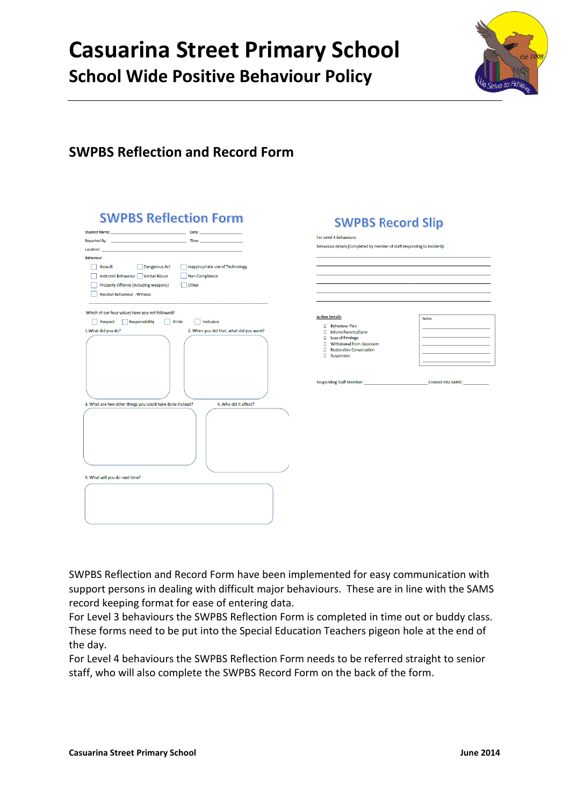

## **SWPBS Reflection and Record Form**

| <b>SWPBS Reflection Form</b>                                                                                    |                       |
|-----------------------------------------------------------------------------------------------------------------|-----------------------|
| Student Name: North Student Annual Student Annual Student Annual Student Annual Student Annual Student<br>Date: |                       |
|                                                                                                                 |                       |
| Location:                                                                                                       |                       |
| <b>Behaviour</b>                                                                                                |                       |
| Assault<br><b>Dangerous Act</b><br>Inappropriate use of Technology                                              |                       |
| Indecent Behaviour   Verbal Abuse<br>Non Compliance                                                             |                       |
| Property Offence (including weapons)<br>Other                                                                   |                       |
| <b>Neutral Behaviour - Witness</b>                                                                              |                       |
|                                                                                                                 |                       |
| Which of our four values have you not followed?                                                                 |                       |
| Responsibility<br>Pride<br>Inclusion<br>Respect                                                                 |                       |
| 1. What did you do?<br>2. When you did that, what did you want?                                                 |                       |
|                                                                                                                 |                       |
|                                                                                                                 |                       |
|                                                                                                                 |                       |
|                                                                                                                 |                       |
|                                                                                                                 |                       |
|                                                                                                                 |                       |
|                                                                                                                 |                       |
| 3. What are two other things you could have done instead?                                                       | 4. Who did it affect? |
|                                                                                                                 |                       |
|                                                                                                                 |                       |
|                                                                                                                 |                       |
|                                                                                                                 |                       |
|                                                                                                                 |                       |
|                                                                                                                 |                       |
|                                                                                                                 |                       |
|                                                                                                                 |                       |
| 5. What will you do next time?                                                                                  |                       |
|                                                                                                                 |                       |
|                                                                                                                 |                       |
|                                                                                                                 |                       |
|                                                                                                                 |                       |
|                                                                                                                 |                       |

| Behaviour details (Completed by member of staff responding to incident): |                                           |
|--------------------------------------------------------------------------|-------------------------------------------|
|                                                                          |                                           |
|                                                                          |                                           |
|                                                                          |                                           |
|                                                                          |                                           |
|                                                                          |                                           |
|                                                                          |                                           |
|                                                                          |                                           |
| <b>Action Details</b>                                                    | Notes:                                    |
|                                                                          |                                           |
| <b>Behaviour Plan</b>                                                    |                                           |
| <b>D</b> Inform Parents/Carer                                            |                                           |
| <b>Loss of Privilege</b>                                                 |                                           |
| Withdrawal from classroom<br>n                                           |                                           |
| Restorative Conversation                                                 | the control of the control of the control |
| Suspension<br>п                                                          |                                           |
|                                                                          |                                           |
|                                                                          |                                           |

SWPBS Reflection and Record Form have been implemented for easy communication with support persons in dealing with difficult major behaviours. These are in line with the SAMS record keeping format for ease of entering data.

For Level 3 behaviours the SWPBS Reflection Form is completed in time out or buddy class. These forms need to be put into the Special Education Teachers pigeon hole at the end of the day.

For Level 4 behaviours the SWPBS Reflection Form needs to be referred straight to senior staff, who will also complete the SWPBS Record Form on the back of the form.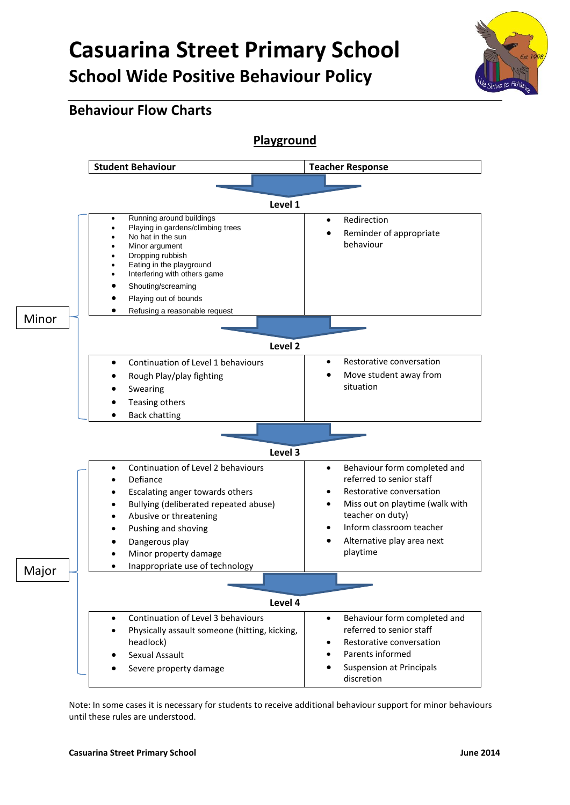

### **Behaviour Flow Charts**



Note: In some cases it is necessary for students to receive additional behaviour support for minor behaviours until these rules are understood.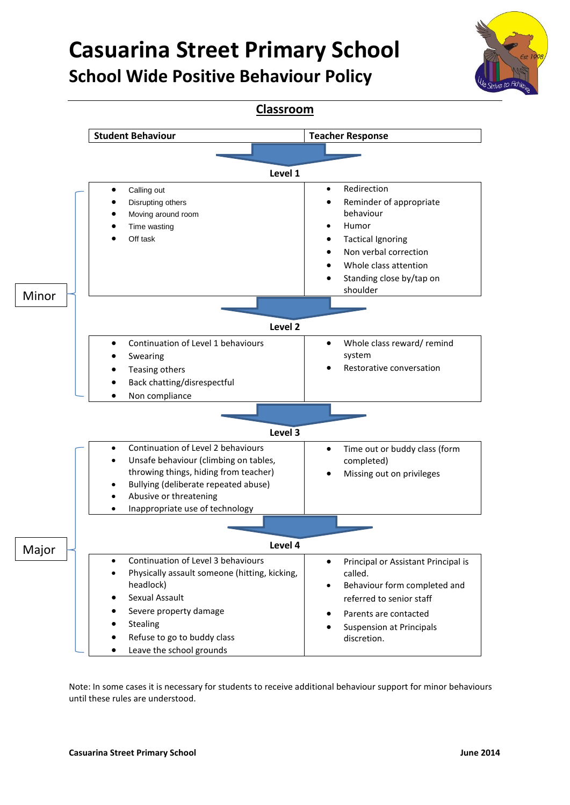

**Classroom Student Behaviour Teacher Response Level 1** Calling out Disrupting others Moving around room Time wasting Off task • Redirection Reminder of appropriate behaviour Humor Tactical Ignoring Non verbal correction Whole class attention • Standing close by/tap on shoulder **Level 2** Continuation of Level 1 behaviours Swearing Teasing others Back chatting/disrespectful Non compliance Whole class reward/ remind system Restorative conversation **Level 3** Continuation of Level 2 behaviours Unsafe behaviour (climbing on tables, throwing things, hiding from teacher) Bullying (deliberate repeated abuse) Abusive or threatening Inappropriate use of technology • Time out or buddy class (form completed) Missing out on privileges **Level 4** Continuation of Level 3 behaviours Physically assault someone (hitting, kicking, headlock) Sexual Assault Severe property damage Stealing Refuse to go to buddy class Leave the school grounds **•** Principal or Assistant Principal is called. Behaviour form completed and referred to senior staff Parents are contacted Suspension at Principals discretion. Major Minor

> Note: In some cases it is necessary for students to receive additional behaviour support for minor behaviours until these rules are understood.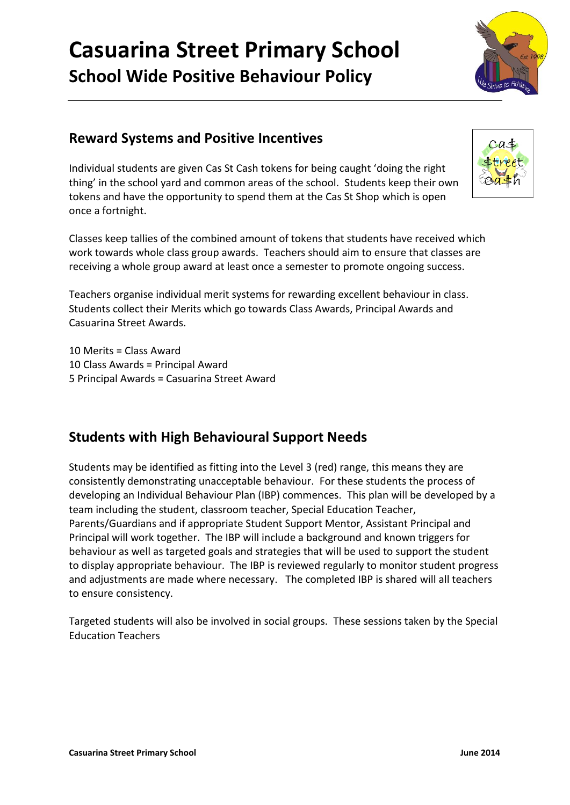

## **Reward Systems and Positive Incentives**

Individual students are given Cas St Cash tokens for being caught 'doing the right thing' in the school yard and common areas of the school. Students keep their own tokens and have the opportunity to spend them at the Cas St Shop which is open once a fortnight.

Classes keep tallies of the combined amount of tokens that students have received which work towards whole class group awards. Teachers should aim to ensure that classes are receiving a whole group award at least once a semester to promote ongoing success.

Teachers organise individual merit systems for rewarding excellent behaviour in class. Students collect their Merits which go towards Class Awards, Principal Awards and Casuarina Street Awards.

10 Merits = Class Award 10 Class Awards = Principal Award 5 Principal Awards = Casuarina Street Award

## **Students with High Behavioural Support Needs**

Students may be identified as fitting into the Level 3 (red) range, this means they are consistently demonstrating unacceptable behaviour. For these students the process of developing an Individual Behaviour Plan (IBP) commences. This plan will be developed by a team including the student, classroom teacher, Special Education Teacher, Parents/Guardians and if appropriate Student Support Mentor, Assistant Principal and Principal will work together. The IBP will include a background and known triggers for behaviour as well as targeted goals and strategies that will be used to support the student to display appropriate behaviour. The IBP is reviewed regularly to monitor student progress and adjustments are made where necessary. The completed IBP is shared will all teachers to ensure consistency.

Targeted students will also be involved in social groups. These sessions taken by the Special Education Teachers